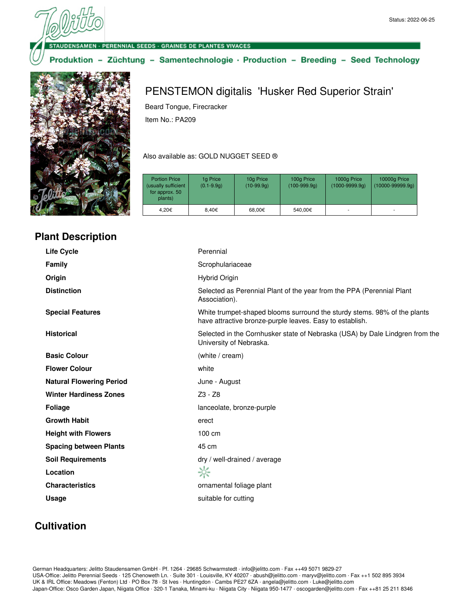SAMEN · PERENNIAL SEEDS · GRAINES DE PLANTES VIVACES

#### Produktion - Züchtung - Samentechnologie · Production - Breeding - Seed Technology



#### **Plant Description**

# PENSTEMON digitalis 'Husker Red Superior Strain'

Beard Tongue, Firecracker

Item No.: PA209

#### Also available as: GOLD NUGGET SEED ®

| <b>Portion Price</b><br>(usually sufficient<br>for approx. 50<br>plants) | 1g Price<br>$(0.1 - 9.9q)$ | 10g Price<br>$(10-99.9q)$ | 100g Price<br>$(100-999.9q)$ | 1000g Price<br>$(1000 - 9999.9q)$ | 10000g Price<br>$(10000-99999.9q)$ |
|--------------------------------------------------------------------------|----------------------------|---------------------------|------------------------------|-----------------------------------|------------------------------------|
| 4.20€                                                                    | 8.40€                      | 68.00€                    | 540,00€                      |                                   | ٠                                  |

| <b>Life Cycle</b>               | Perennial                                                                                                                            |
|---------------------------------|--------------------------------------------------------------------------------------------------------------------------------------|
| <b>Family</b>                   | Scrophulariaceae                                                                                                                     |
| Origin                          | Hybrid Origin                                                                                                                        |
| <b>Distinction</b>              | Selected as Perennial Plant of the year from the PPA (Perennial Plant<br>Association).                                               |
| <b>Special Features</b>         | White trumpet-shaped blooms surround the sturdy stems. 98% of the plants<br>have attractive bronze-purple leaves. Easy to establish. |
| <b>Historical</b>               | Selected in the Cornhusker state of Nebraska (USA) by Dale Lindgren from the<br>University of Nebraska.                              |
| <b>Basic Colour</b>             | (white / cream)                                                                                                                      |
| <b>Flower Colour</b>            | white                                                                                                                                |
| <b>Natural Flowering Period</b> | June - August                                                                                                                        |
| <b>Winter Hardiness Zones</b>   | Z3 - Z8                                                                                                                              |
| <b>Foliage</b>                  | lanceolate, bronze-purple                                                                                                            |
| <b>Growth Habit</b>             | erect                                                                                                                                |
| <b>Height with Flowers</b>      | 100 cm                                                                                                                               |
| <b>Spacing between Plants</b>   | 45 cm                                                                                                                                |
| <b>Soil Requirements</b>        | dry / well-drained / average                                                                                                         |
| Location                        | ☆                                                                                                                                    |
| <b>Characteristics</b>          | ornamental foliage plant                                                                                                             |
| <b>Usage</b>                    | suitable for cutting                                                                                                                 |
|                                 |                                                                                                                                      |

### **Cultivation**